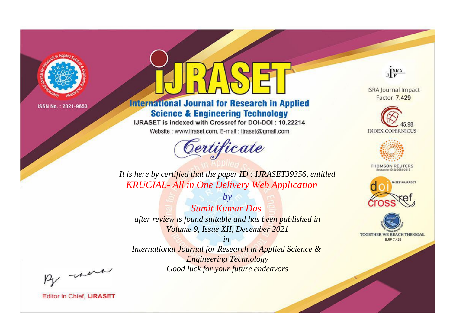

# **International Journal for Research in Applied Science & Engineering Technology**

IJRASET is indexed with Crossref for DOI-DOI: 10.22214

Website: www.ijraset.com, E-mail: ijraset@gmail.com



JERA

**ISRA Journal Impact** Factor: 7.429





**THOMSON REUTERS** 



TOGETHER WE REACH THE GOAL **SJIF 7.429** 

It is here by certified that the paper ID: IJRASET39356, entitled **KRUCIAL- All in One Delivery Web Application** 

 $b\nu$ **Sumit Kumar Das** after review is found suitable and has been published in Volume 9, Issue XII, December 2021

 $in$ International Journal for Research in Applied Science & **Engineering Technology** Good luck for your future endeavors

By morn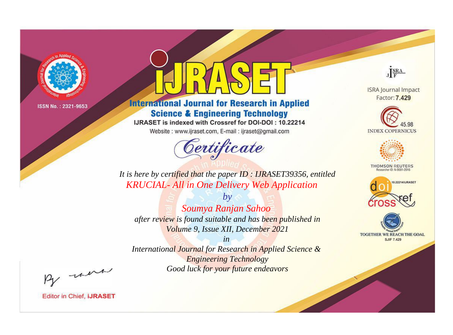

# **International Journal for Research in Applied Science & Engineering Technology**

IJRASET is indexed with Crossref for DOI-DOI: 10.22214

Website: www.ijraset.com, E-mail: ijraset@gmail.com



JERA

**ISRA Journal Impact** Factor: 7.429





**THOMSON REUTERS** 



TOGETHER WE REACH THE GOAL **SJIF 7.429** 

It is here by certified that the paper ID: IJRASET39356, entitled **KRUCIAL- All in One Delivery Web Application** 

Soumya Ranjan Sahoo after review is found suitable and has been published in Volume 9, Issue XII, December 2021

 $by$ 

 $in$ International Journal for Research in Applied Science & **Engineering Technology** Good luck for your future endeavors

By morn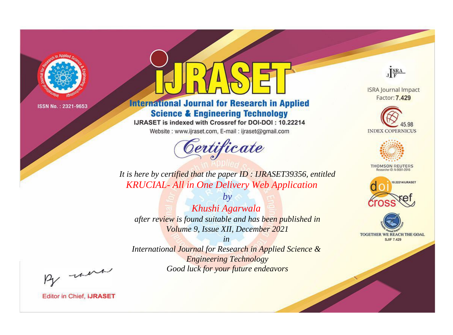

# **International Journal for Research in Applied Science & Engineering Technology**

IJRASET is indexed with Crossref for DOI-DOI: 10.22214

Website: www.ijraset.com, E-mail: ijraset@gmail.com



JERA

**ISRA Journal Impact** Factor: 7.429





**THOMSON REUTERS** 



TOGETHER WE REACH THE GOAL **SJIF 7.429** 

It is here by certified that the paper ID: IJRASET39356, entitled **KRUCIAL- All in One Delivery Web Application** 

Khushi Agarwala after review is found suitable and has been published in Volume 9, Issue XII, December 2021

 $by$ 

 $in$ International Journal for Research in Applied Science & **Engineering Technology** Good luck for your future endeavors

By morn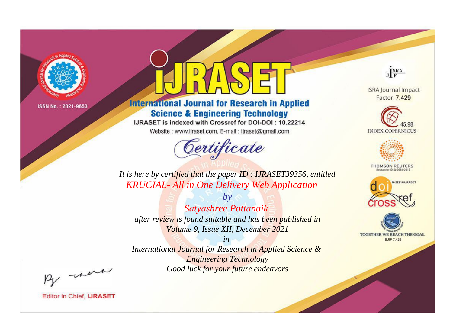

# **International Journal for Research in Applied Science & Engineering Technology**

IJRASET is indexed with Crossref for DOI-DOI: 10.22214

Website: www.ijraset.com, E-mail: ijraset@gmail.com



JERA

**ISRA Journal Impact** Factor: 7.429





**THOMSON REUTERS** 



TOGETHER WE REACH THE GOAL **SJIF 7.429** 

It is here by certified that the paper ID: IJRASET39356, entitled **KRUCIAL- All in One Delivery Web Application** 

Satyashree Pattanaik after review is found suitable and has been published in Volume 9, Issue XII, December 2021

 $by$ 

 $in$ International Journal for Research in Applied Science & **Engineering Technology** Good luck for your future endeavors

By morn